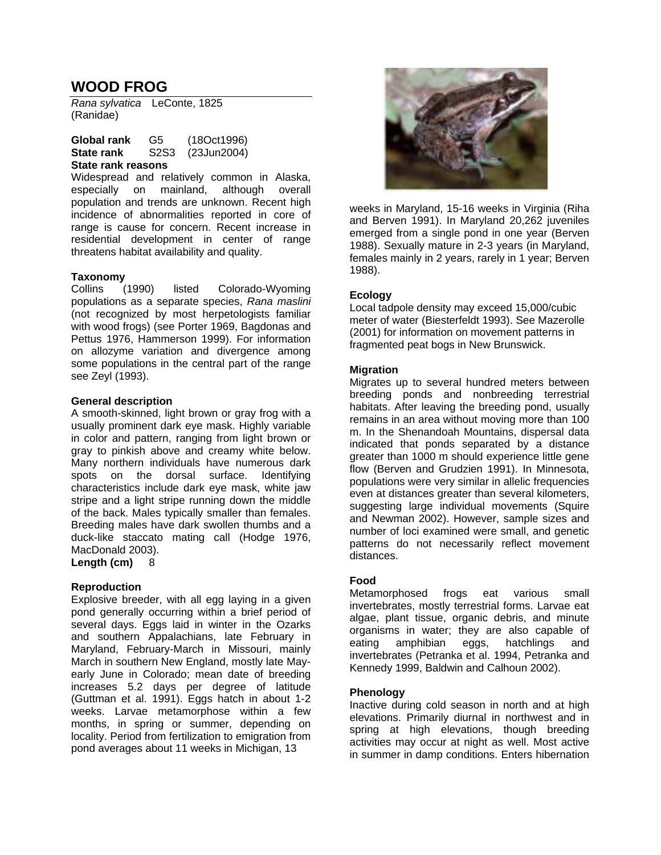# **WOOD FROG**

*Rana sylvatica* LeConte, 1825 (Ranidae)

| Global rank       | G5   | (180ct1996) |
|-------------------|------|-------------|
| <b>State rank</b> | S2S3 | (23Jun2004) |

#### **State rank reasons**

Widespread and relatively common in Alaska, especially on mainland, although overall population and trends are unknown. Recent high incidence of abnormalities reported in core of range is cause for concern. Recent increase in residential development in center of range threatens habitat availability and quality.

#### **Taxonomy**

Collins (1990) listed Colorado-Wyoming populations as a separate species, *Rana maslini* (not recognized by most herpetologists familiar with wood frogs) (see Porter 1969, Bagdonas and Pettus 1976, Hammerson 1999). For information on allozyme variation and divergence among some populations in the central part of the range see Zeyl (1993).

#### **General description**

A smooth-skinned, light brown or gray frog with a usually prominent dark eye mask. Highly variable in color and pattern, ranging from light brown or gray to pinkish above and creamy white below. Many northern individuals have numerous dark spots on the dorsal surface. Identifying characteristics include dark eye mask, white jaw stripe and a light stripe running down the middle of the back. Males typically smaller than females. Breeding males have dark swollen thumbs and a duck-like staccato mating call (Hodge 1976, MacDonald 2003).

**Length (cm)** 8

#### **Reproduction**

Explosive breeder, with all egg laying in a given pond generally occurring within a brief period of several days. Eggs laid in winter in the Ozarks and southern Appalachians, late February in Maryland, February-March in Missouri, mainly March in southern New England, mostly late Mayearly June in Colorado; mean date of breeding increases 5.2 days per degree of latitude (Guttman et al. 1991). Eggs hatch in about 1-2 weeks. Larvae metamorphose within a few months, in spring or summer, depending on locality. Period from fertilization to emigration from pond averages about 11 weeks in Michigan, 13



weeks in Maryland, 15-16 weeks in Virginia (Riha and Berven 1991). In Maryland 20,262 juveniles emerged from a single pond in one year (Berven 1988). Sexually mature in 2-3 years (in Maryland, females mainly in 2 years, rarely in 1 year; Berven 1988).

#### **Ecology**

Local tadpole density may exceed 15,000/cubic meter of water (Biesterfeldt 1993). See Mazerolle (2001) for information on movement patterns in fragmented peat bogs in New Brunswick.

#### **Migration**

Migrates up to several hundred meters between breeding ponds and nonbreeding terrestrial habitats. After leaving the breeding pond, usually remains in an area without moving more than 100 m. In the Shenandoah Mountains, dispersal data indicated that ponds separated by a distance greater than 1000 m should experience little gene flow (Berven and Grudzien 1991). In Minnesota, populations were very similar in allelic frequencies even at distances greater than several kilometers, suggesting large individual movements (Squire and Newman 2002). However, sample sizes and number of loci examined were small, and genetic patterns do not necessarily reflect movement distances.

#### **Food**

Metamorphosed frogs eat various small invertebrates, mostly terrestrial forms. Larvae eat algae, plant tissue, organic debris, and minute organisms in water; they are also capable of eating amphibian eggs, hatchlings and invertebrates (Petranka et al. 1994, Petranka and Kennedy 1999, Baldwin and Calhoun 2002).

#### **Phenology**

Inactive during cold season in north and at high elevations. Primarily diurnal in northwest and in spring at high elevations, though breeding activities may occur at night as well. Most active in summer in damp conditions. Enters hibernation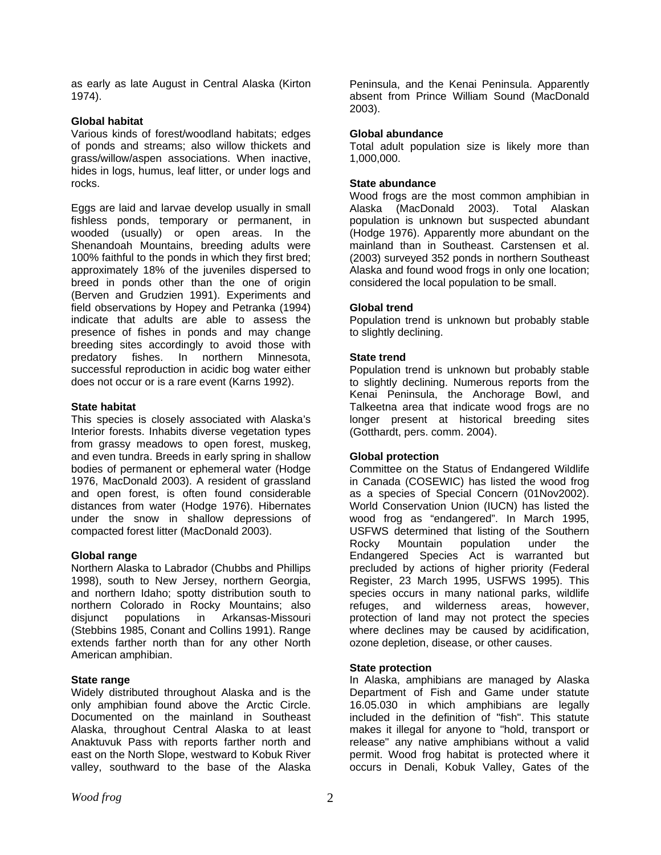as early as late August in Central Alaska (Kirton 1974).

# **Global habitat**

Various kinds of forest/woodland habitats; edges of ponds and streams; also willow thickets and grass/willow/aspen associations. When inactive, hides in logs, humus, leaf litter, or under logs and rocks.

Eggs are laid and larvae develop usually in small fishless ponds, temporary or permanent, in wooded (usually) or open areas. In the Shenandoah Mountains, breeding adults were 100% faithful to the ponds in which they first bred; approximately 18% of the juveniles dispersed to breed in ponds other than the one of origin (Berven and Grudzien 1991). Experiments and field observations by Hopey and Petranka (1994) indicate that adults are able to assess the presence of fishes in ponds and may change breeding sites accordingly to avoid those with predatory fishes. In northern Minnesota, successful reproduction in acidic bog water either does not occur or is a rare event (Karns 1992).

# **State habitat**

This species is closely associated with Alaska's Interior forests. Inhabits diverse vegetation types from grassy meadows to open forest, muskeg, and even tundra. Breeds in early spring in shallow bodies of permanent or ephemeral water (Hodge 1976, MacDonald 2003). A resident of grassland and open forest, is often found considerable distances from water (Hodge 1976). Hibernates under the snow in shallow depressions of compacted forest litter (MacDonald 2003).

# **Global range**

Northern Alaska to Labrador (Chubbs and Phillips 1998), south to New Jersey, northern Georgia, and northern Idaho; spotty distribution south to northern Colorado in Rocky Mountains; also disjunct populations in Arkansas-Missouri (Stebbins 1985, Conant and Collins 1991). Range extends farther north than for any other North American amphibian.

#### **State range**

Widely distributed throughout Alaska and is the only amphibian found above the Arctic Circle. Documented on the mainland in Southeast Alaska, throughout Central Alaska to at least Anaktuvuk Pass with reports farther north and east on the North Slope, westward to Kobuk River valley, southward to the base of the Alaska

Peninsula, and the Kenai Peninsula. Apparently absent from Prince William Sound (MacDonald 2003).

# **Global abundance**

Total adult population size is likely more than 1,000,000.

# **State abundance**

Wood frogs are the most common amphibian in Alaska (MacDonald 2003). Total Alaskan population is unknown but suspected abundant (Hodge 1976). Apparently more abundant on the mainland than in Southeast. Carstensen et al. (2003) surveyed 352 ponds in northern Southeast Alaska and found wood frogs in only one location; considered the local population to be small.

# **Global trend**

Population trend is unknown but probably stable to slightly declining.

# **State trend**

Population trend is unknown but probably stable to slightly declining. Numerous reports from the Kenai Peninsula, the Anchorage Bowl, and Talkeetna area that indicate wood frogs are no longer present at historical breeding sites (Gotthardt, pers. comm. 2004).

#### **Global protection**

Committee on the Status of Endangered Wildlife in Canada (COSEWIC) has listed the wood frog as a species of Special Concern (01Nov2002). World Conservation Union (IUCN) has listed the wood frog as "endangered". In March 1995, USFWS determined that listing of the Southern Rocky Mountain population under the Endangered Species Act is warranted but precluded by actions of higher priority (Federal Register, 23 March 1995, USFWS 1995). This species occurs in many national parks, wildlife refuges, and wilderness areas, however, protection of land may not protect the species where declines may be caused by acidification, ozone depletion, disease, or other causes.

#### **State protection**

In Alaska, amphibians are managed by Alaska Department of Fish and Game under statute 16.05.030 in which amphibians are legally included in the definition of "fish". This statute makes it illegal for anyone to "hold, transport or release" any native amphibians without a valid permit. Wood frog habitat is protected where it occurs in Denali, Kobuk Valley, Gates of the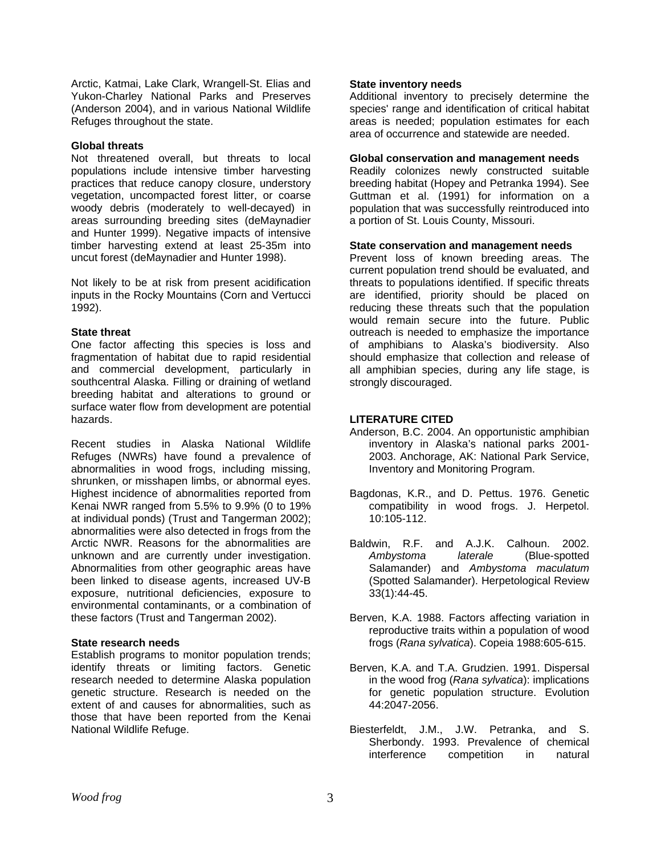Arctic, Katmai, Lake Clark, Wrangell-St. Elias and Yukon-Charley National Parks and Preserves (Anderson 2004), and in various National Wildlife Refuges throughout the state.

# **Global threats**

Not threatened overall, but threats to local populations include intensive timber harvesting practices that reduce canopy closure, understory vegetation, uncompacted forest litter, or coarse woody debris (moderately to well-decayed) in areas surrounding breeding sites (deMaynadier and Hunter 1999). Negative impacts of intensive timber harvesting extend at least 25-35m into uncut forest (deMaynadier and Hunter 1998).

Not likely to be at risk from present acidification inputs in the Rocky Mountains (Corn and Vertucci 1992).

# **State threat**

One factor affecting this species is loss and fragmentation of habitat due to rapid residential and commercial development, particularly in southcentral Alaska. Filling or draining of wetland breeding habitat and alterations to ground or surface water flow from development are potential hazards.

Recent studies in Alaska National Wildlife Refuges (NWRs) have found a prevalence of abnormalities in wood frogs, including missing, shrunken, or misshapen limbs, or abnormal eyes. Highest incidence of abnormalities reported from Kenai NWR ranged from 5.5% to 9.9% (0 to 19% at individual ponds) (Trust and Tangerman 2002); abnormalities were also detected in frogs from the Arctic NWR. Reasons for the abnormalities are unknown and are currently under investigation. Abnormalities from other geographic areas have been linked to disease agents, increased UV-B exposure, nutritional deficiencies, exposure to environmental contaminants, or a combination of these factors (Trust and Tangerman 2002).

# **State research needs**

Establish programs to monitor population trends; identify threats or limiting factors. Genetic research needed to determine Alaska population genetic structure. Research is needed on the extent of and causes for abnormalities, such as those that have been reported from the Kenai National Wildlife Refuge.

# **State inventory needs**

Additional inventory to precisely determine the species' range and identification of critical habitat areas is needed; population estimates for each area of occurrence and statewide are needed.

# **Global conservation and management needs**

Readily colonizes newly constructed suitable breeding habitat (Hopey and Petranka 1994). See Guttman et al. (1991) for information on a population that was successfully reintroduced into a portion of St. Louis County, Missouri.

# **State conservation and management needs**

Prevent loss of known breeding areas. The current population trend should be evaluated, and threats to populations identified. If specific threats are identified, priority should be placed on reducing these threats such that the population would remain secure into the future. Public outreach is needed to emphasize the importance of amphibians to Alaska's biodiversity. Also should emphasize that collection and release of all amphibian species, during any life stage, is strongly discouraged.

# **LITERATURE CITED**

- Anderson, B.C. 2004. An opportunistic amphibian inventory in Alaska's national parks 2001- 2003. Anchorage, AK: National Park Service, Inventory and Monitoring Program.
- Bagdonas, K.R., and D. Pettus. 1976. Genetic compatibility in wood frogs. J. Herpetol. 10:105-112.
- Baldwin, R.F. and A.J.K. Calhoun. 2002. *Ambystoma laterale* (Blue-spotted Salamander) and *Ambystoma maculatum* (Spotted Salamander). Herpetological Review 33(1):44-45.
- Berven, K.A. 1988. Factors affecting variation in reproductive traits within a population of wood frogs (*Rana sylvatica*). Copeia 1988:605-615.
- Berven, K.A. and T.A. Grudzien. 1991. Dispersal in the wood frog (*Rana sylvatica*): implications for genetic population structure. Evolution 44:2047-2056.
- Biesterfeldt, J.M., J.W. Petranka, and S. Sherbondy. 1993. Prevalence of chemical interference competition in natural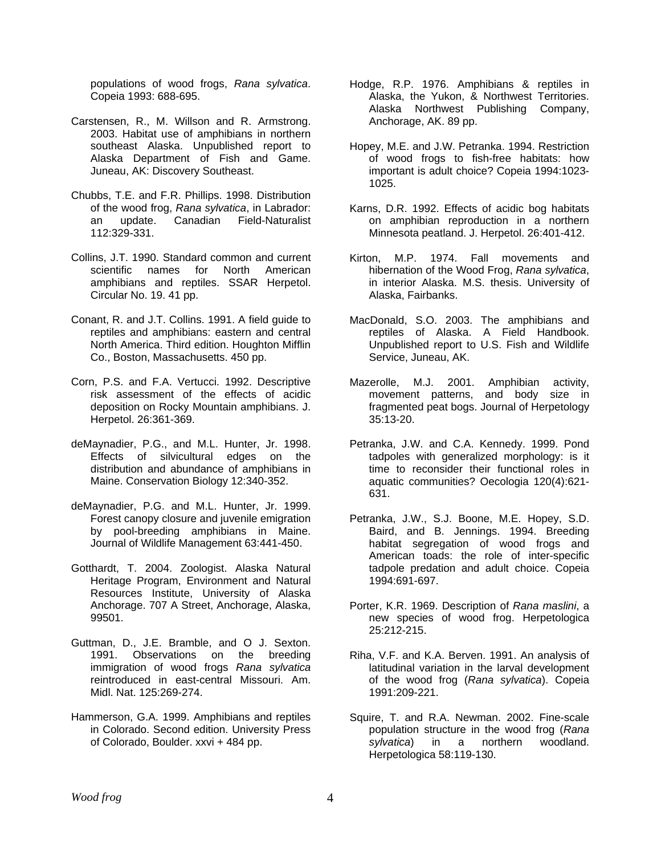populations of wood frogs, *Rana sylvatica*. Copeia 1993: 688-695.

- Carstensen, R., M. Willson and R. Armstrong. 2003. Habitat use of amphibians in northern southeast Alaska. Unpublished report to Alaska Department of Fish and Game. Juneau, AK: Discovery Southeast.
- Chubbs, T.E. and F.R. Phillips. 1998. Distribution of the wood frog, *Rana sylvatica*, in Labrador: an update. Canadian Field-Naturalist 112:329-331.
- Collins, J.T. 1990. Standard common and current scientific names for North American amphibians and reptiles. SSAR Herpetol. Circular No. 19. 41 pp.
- Conant, R. and J.T. Collins. 1991. A field guide to reptiles and amphibians: eastern and central North America. Third edition. Houghton Mifflin Co., Boston, Massachusetts. 450 pp.
- Corn, P.S. and F.A. Vertucci. 1992. Descriptive risk assessment of the effects of acidic deposition on Rocky Mountain amphibians. J. Herpetol. 26:361-369.
- deMaynadier, P.G., and M.L. Hunter, Jr. 1998. Effects of silvicultural edges on the distribution and abundance of amphibians in Maine. Conservation Biology 12:340-352.
- deMaynadier, P.G. and M.L. Hunter, Jr. 1999. Forest canopy closure and juvenile emigration by pool-breeding amphibians in Maine. Journal of Wildlife Management 63:441-450.
- Gotthardt, T. 2004. Zoologist. Alaska Natural Heritage Program, Environment and Natural Resources Institute, University of Alaska Anchorage. 707 A Street, Anchorage, Alaska, 99501.
- Guttman, D., J.E. Bramble, and O J. Sexton. 1991. Observations on the breeding immigration of wood frogs *Rana sylvatica* reintroduced in east-central Missouri. Am. Midl. Nat. 125:269-274.
- Hammerson, G.A. 1999. Amphibians and reptiles in Colorado. Second edition. University Press of Colorado, Boulder. xxvi + 484 pp.
- Hodge, R.P. 1976. Amphibians & reptiles in Alaska, the Yukon, & Northwest Territories. Alaska Northwest Publishing Company, Anchorage, AK. 89 pp.
- Hopey, M.E. and J.W. Petranka. 1994. Restriction of wood frogs to fish-free habitats: how important is adult choice? Copeia 1994:1023- 1025.
- Karns, D.R. 1992. Effects of acidic bog habitats on amphibian reproduction in a northern Minnesota peatland. J. Herpetol. 26:401-412.
- Kirton, M.P. 1974. Fall movements and hibernation of the Wood Frog, *Rana sylvatica*, in interior Alaska. M.S. thesis. University of Alaska, Fairbanks.
- MacDonald, S.O. 2003. The amphibians and reptiles of Alaska. A Field Handbook. Unpublished report to U.S. Fish and Wildlife Service, Juneau, AK.
- Mazerolle, M.J. 2001. Amphibian activity, movement patterns, and body size in fragmented peat bogs. Journal of Herpetology 35:13-20.
- Petranka, J.W. and C.A. Kennedy. 1999. Pond tadpoles with generalized morphology: is it time to reconsider their functional roles in aquatic communities? Oecologia 120(4):621- 631.
- Petranka, J.W., S.J. Boone, M.E. Hopey, S.D. Baird, and B. Jennings. 1994. Breeding habitat segregation of wood frogs and American toads: the role of inter-specific tadpole predation and adult choice. Copeia 1994:691-697.
- Porter, K.R. 1969. Description of *Rana maslini*, a new species of wood frog. Herpetologica 25:212-215.
- Riha, V.F. and K.A. Berven. 1991. An analysis of latitudinal variation in the larval development of the wood frog (*Rana sylvatica*). Copeia 1991:209-221.
- Squire, T. and R.A. Newman. 2002. Fine-scale population structure in the wood frog (*Rana sylvatica*) in a northern woodland. Herpetologica 58:119-130.